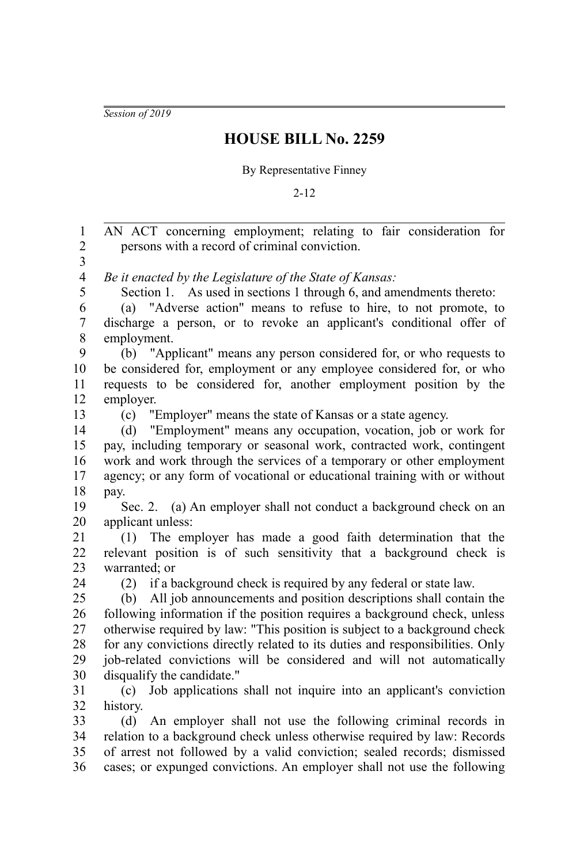*Session of 2019*

## **HOUSE BILL No. 2259**

## By Representative Finney

2-12

AN ACT concerning employment; relating to fair consideration for persons with a record of criminal conviction. *Be it enacted by the Legislature of the State of Kansas:* Section 1. As used in sections 1 through 6, and amendments thereto: (a) "Adverse action" means to refuse to hire, to not promote, to discharge a person, or to revoke an applicant's conditional offer of employment. (b) "Applicant" means any person considered for, or who requests to be considered for, employment or any employee considered for, or who requests to be considered for, another employment position by the employer. (c) "Employer" means the state of Kansas or a state agency. (d) "Employment" means any occupation, vocation, job or work for pay, including temporary or seasonal work, contracted work, contingent work and work through the services of a temporary or other employment agency; or any form of vocational or educational training with or without pay. Sec. 2. (a) An employer shall not conduct a background check on an applicant unless: (1) The employer has made a good faith determination that the relevant position is of such sensitivity that a background check is warranted; or (2) if a background check is required by any federal or state law. (b) All job announcements and position descriptions shall contain the following information if the position requires a background check, unless otherwise required by law: "This position is subject to a background check for any convictions directly related to its duties and responsibilities. Only job-related convictions will be considered and will not automatically disqualify the candidate." (c) Job applications shall not inquire into an applicant's conviction history. (d) An employer shall not use the following criminal records in relation to a background check unless otherwise required by law: Records of arrest not followed by a valid conviction; sealed records; dismissed cases; or expunged convictions. An employer shall not use the following 1 2 3 4 5 6 7 8 9 10 11 12 13 14 15 16 17 18 19 20 21 22 23 24 25 26 27 28 29 30 31 32 33 34 35 36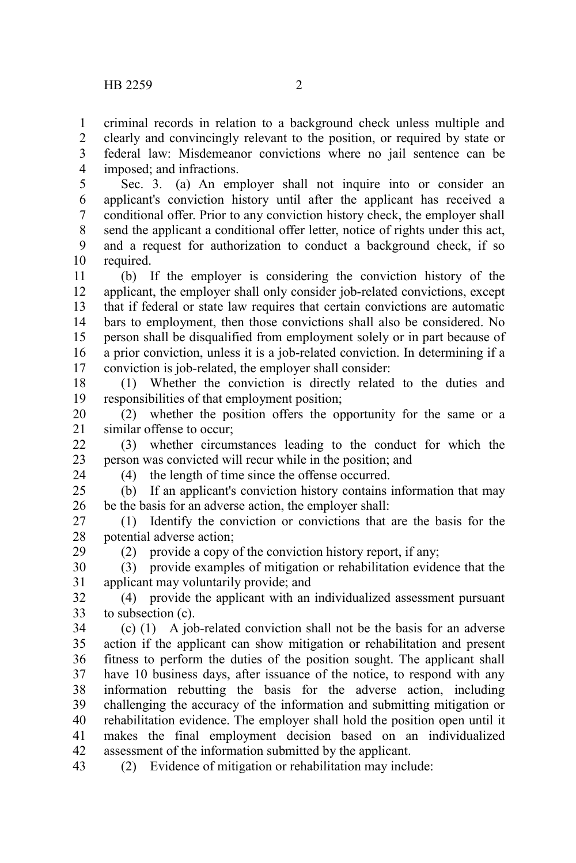criminal records in relation to a background check unless multiple and clearly and convincingly relevant to the position, or required by state or federal law: Misdemeanor convictions where no jail sentence can be imposed; and infractions. 1 2 3 4

Sec. 3. (a) An employer shall not inquire into or consider an applicant's conviction history until after the applicant has received a conditional offer. Prior to any conviction history check, the employer shall send the applicant a conditional offer letter, notice of rights under this act, and a request for authorization to conduct a background check, if so required. 5 6 7 8 9 10

(b) If the employer is considering the conviction history of the applicant, the employer shall only consider job-related convictions, except that if federal or state law requires that certain convictions are automatic bars to employment, then those convictions shall also be considered. No person shall be disqualified from employment solely or in part because of a prior conviction, unless it is a job-related conviction. In determining if a conviction is job-related, the employer shall consider: 11 12 13 14 15 16 17

(1) Whether the conviction is directly related to the duties and responsibilities of that employment position; 18 19

(2) whether the position offers the opportunity for the same or a similar offense to occur; 20 21

(3) whether circumstances leading to the conduct for which the person was convicted will recur while in the position; and  $22$ 23

24

29

(4) the length of time since the offense occurred.

(b) If an applicant's conviction history contains information that may be the basis for an adverse action, the employer shall:  $25$ 26

(1) Identify the conviction or convictions that are the basis for the potential adverse action; 27 28

(2) provide a copy of the conviction history report, if any;

(3) provide examples of mitigation or rehabilitation evidence that the applicant may voluntarily provide; and 30 31

(4) provide the applicant with an individualized assessment pursuant to subsection (c). 32 33

(c) (1) A job-related conviction shall not be the basis for an adverse action if the applicant can show mitigation or rehabilitation and present fitness to perform the duties of the position sought. The applicant shall have 10 business days, after issuance of the notice, to respond with any information rebutting the basis for the adverse action, including challenging the accuracy of the information and submitting mitigation or rehabilitation evidence. The employer shall hold the position open until it makes the final employment decision based on an individualized assessment of the information submitted by the applicant. 34 35 36 37 38 39 40 41 42

(2) Evidence of mitigation or rehabilitation may include: 43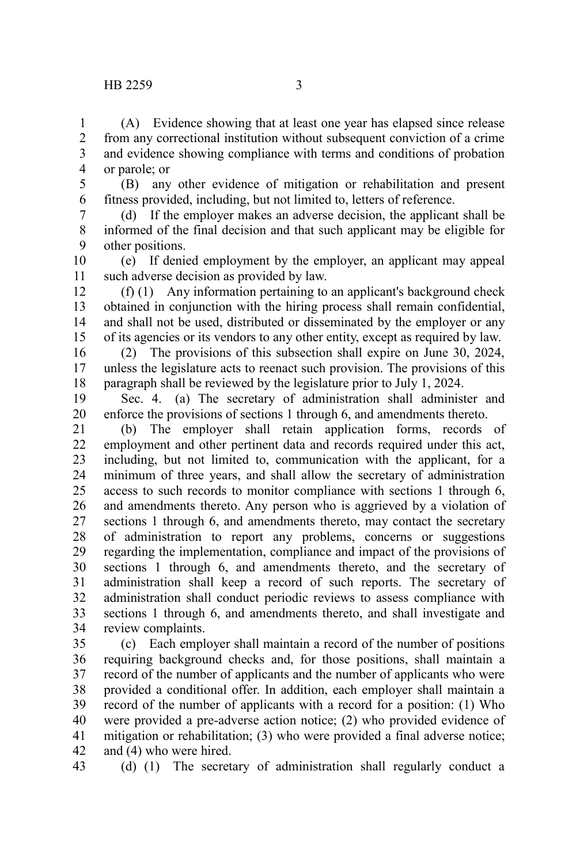(A) Evidence showing that at least one year has elapsed since release from any correctional institution without subsequent conviction of a crime and evidence showing compliance with terms and conditions of probation or parole; or 1 2 3 4

(B) any other evidence of mitigation or rehabilitation and present fitness provided, including, but not limited to, letters of reference. 5 6

(d) If the employer makes an adverse decision, the applicant shall be informed of the final decision and that such applicant may be eligible for other positions. 7 8 9

(e) If denied employment by the employer, an applicant may appeal such adverse decision as provided by law. 10 11

(f) (1) Any information pertaining to an applicant's background check obtained in conjunction with the hiring process shall remain confidential, and shall not be used, distributed or disseminated by the employer or any of its agencies or its vendors to any other entity, except as required by law. 12 13 14 15

(2) The provisions of this subsection shall expire on June 30, 2024, unless the legislature acts to reenact such provision. The provisions of this paragraph shall be reviewed by the legislature prior to July 1, 2024. 16 17 18

Sec. 4. (a) The secretary of administration shall administer and enforce the provisions of sections 1 through 6, and amendments thereto. 19 20

(b) The employer shall retain application forms, records of employment and other pertinent data and records required under this act, including, but not limited to, communication with the applicant, for a minimum of three years, and shall allow the secretary of administration access to such records to monitor compliance with sections 1 through 6, and amendments thereto. Any person who is aggrieved by a violation of sections 1 through 6, and amendments thereto, may contact the secretary of administration to report any problems, concerns or suggestions regarding the implementation, compliance and impact of the provisions of sections 1 through 6, and amendments thereto, and the secretary of administration shall keep a record of such reports. The secretary of administration shall conduct periodic reviews to assess compliance with sections 1 through 6, and amendments thereto, and shall investigate and review complaints. 21 22 23 24 25 26 27 28 29 30 31 32 33 34

(c) Each employer shall maintain a record of the number of positions requiring background checks and, for those positions, shall maintain a record of the number of applicants and the number of applicants who were provided a conditional offer. In addition, each employer shall maintain a record of the number of applicants with a record for a position: (1) Who were provided a pre-adverse action notice; (2) who provided evidence of mitigation or rehabilitation; (3) who were provided a final adverse notice; and (4) who were hired. 35 36 37 38 39 40 41 42

43

(d) (1) The secretary of administration shall regularly conduct a